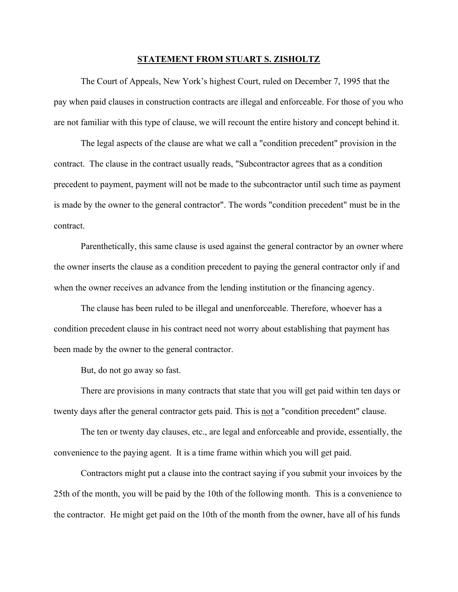## **STATEMENT FROM STUART S. ZISHOLTZ**

The Court of Appeals, New York's highest Court, ruled on December 7, 1995 that the pay when paid clauses in construction contracts are illegal and enforceable. For those of you who are not familiar with this type of clause, we will recount the entire history and concept behind it.

The legal aspects of the clause are what we call a "condition precedent" provision in the contract. The clause in the contract usually reads, "Subcontractor agrees that as a condition precedent to payment, payment will not be made to the subcontractor until such time as payment is made by the owner to the general contractor". The words "condition precedent" must be in the contract.

Parenthetically, this same clause is used against the general contractor by an owner where the owner inserts the clause as a condition precedent to paying the general contractor only if and when the owner receives an advance from the lending institution or the financing agency.

The clause has been ruled to be illegal and unenforceable. Therefore, whoever has a condition precedent clause in his contract need not worry about establishing that payment has been made by the owner to the general contractor.

But, do not go away so fast.

There are provisions in many contracts that state that you will get paid within ten days or twenty days after the general contractor gets paid. This is not a "condition precedent" clause.

The ten or twenty day clauses, etc., are legal and enforceable and provide, essentially, the convenience to the paying agent. It is a time frame within which you will get paid.

Contractors might put a clause into the contract saying if you submit your invoices by the 25th of the month, you will be paid by the 10th of the following month. This is a convenience to the contractor. He might get paid on the 10th of the month from the owner, have all of his funds